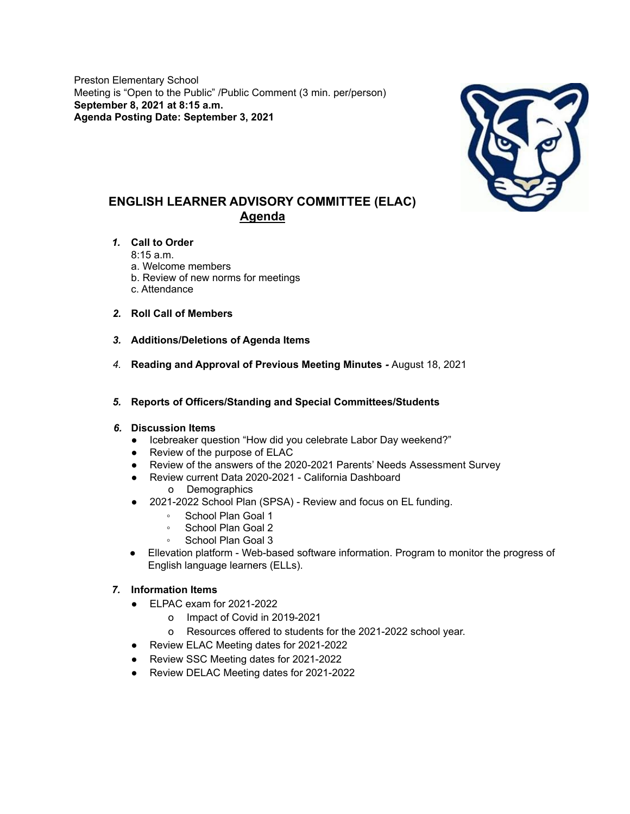Preston Elementary School Meeting is "Open to the Public" /Public Comment (3 min. per/person) **September 8, 2021 at 8:15 a.m. Agenda Posting Date: September 3, 2021**



# **ENGLISH LEARNER ADVISORY COMMITTEE (ELAC) Agenda**

#### *1.* **Call to Order**

8:15 a.m.

- a. Welcome members
- b. Review of new norms for meetings
- c. Attendance
- *2.* **Roll Call of Members**
- *3.* **Additions/Deletions of Agenda Items**
- *4.* **Reading and Approval of Previous Meeting Minutes** *-* August 18, 2021
- *5.* **Reports of Officers/Standing and Special Committees/Students**

#### *6.* **Discussion Items**

- Icebreaker question "How did you celebrate Labor Day weekend?"
- Review of the purpose of ELAC
- Review of the answers of the 2020-2021 Parents' Needs Assessment Survey
- Review current Data 2020-2021 California Dashboard o Demographics
- 2021-2022 School Plan (SPSA) Review and focus on EL funding.
	- School Plan Goal 1
	- School Plan Goal 2
	- School Plan Goal 3
- Ellevation platform Web-based software information. Program to monitor the progress of English language learners (ELLs).

# *7.* **Information Items**

- ELPAC exam for 2021-2022
	- o Impact of Covid in 2019-2021
	- o Resources offered to students for the 2021-2022 school year.
- Review ELAC Meeting dates for 2021-2022
- Review SSC Meeting dates for 2021-2022
- Review DELAC Meeting dates for 2021-2022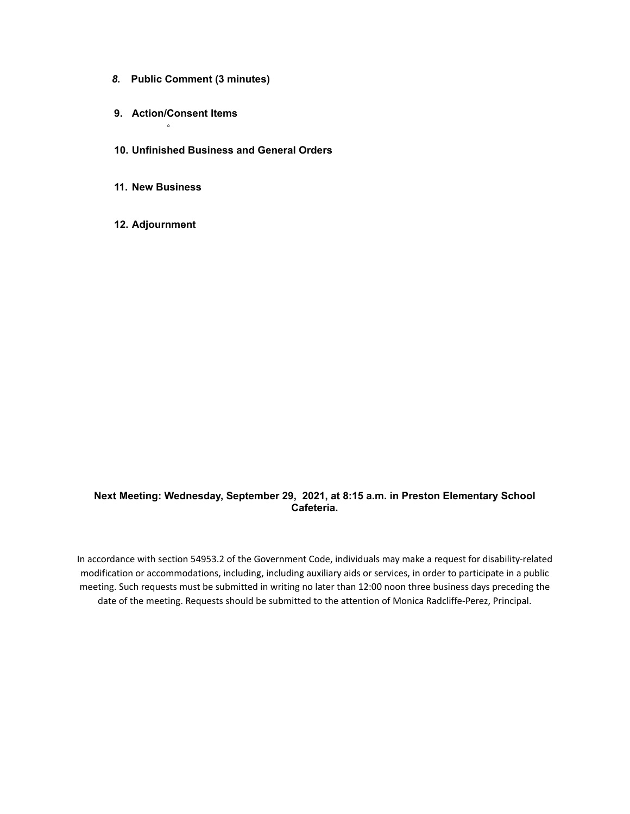- *8.* **Public Comment (3 minutes)**
- **9. Action/Consent Items** ◦
- **10. Unfinished Business and General Orders**
- **11. New Business**
- **12. Adjournment**

### **Next Meeting: Wednesday, September 29, 2021, at 8:15 a.m. in Preston Elementary School Cafeteria.**

In accordance with section 54953.2 of the Government Code, individuals may make a request for disability-related modification or accommodations, including, including auxiliary aids or services, in order to participate in a public meeting. Such requests must be submitted in writing no later than 12:00 noon three business days preceding the date of the meeting. Requests should be submitted to the attention of Monica Radcliffe-Perez, Principal.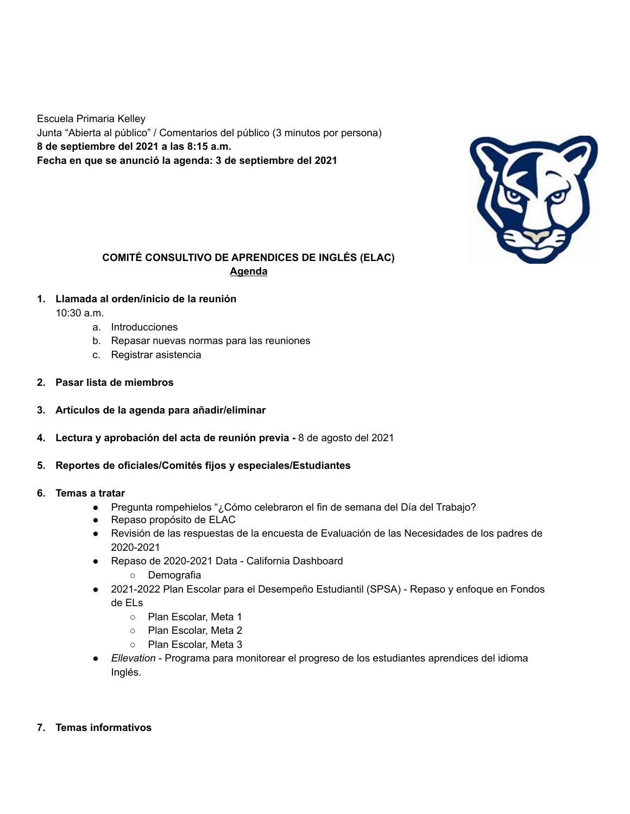Escuela Primaria Kelley Junta "Abierta al público" / Comentarios del público (3 minutos por persona) **8 de septiembre del 2021 a las 8:15 a.m. Fecha en que se anunció la agenda: 3 de septiembre del 2021**



### **COMITÉ CONSULTIVO DE APRENDICES DE INGLÉS (ELAC) Agenda**

**1. Llamada al orden/inicio de la reunión**

10:30 a.m.

- a. Introducciones
- b. Repasar nuevas normas para las reuniones
- c. Registrar asistencia
- **2. Pasar lista de miembros**
- **3. Artículos de la agenda para añadir/eliminar**
- **4. Lectura y aprobación del acta de reunión previa -** 8 de agosto del 2021
- **5. Reportes de oficiales/Comités fijos y especiales/Estudiantes**
- **6. Temas a tratar**
	- Pregunta rompehielos "¿Cómo celebraron el fin de semana del Día del Trabajo?
	- Repaso propósito de ELAC
	- Revisión de las respuestas de la encuesta de Evaluación de las Necesidades de los padres de 2020-2021
	- Repaso de 2020-2021 Data California Dashboard
		- Demografia
	- 2021-2022 Plan Escolar para el Desempeño Estudiantil (SPSA) Repaso y enfoque en Fondos de ELs
		- Plan Escolar, Meta 1
		- Plan Escolar, Meta 2
		- Plan Escolar, Meta 3
	- *Ellevation* Programa para monitorear el progreso de los estudiantes aprendices del idioma Inglés.
- **7. Temas informativos**